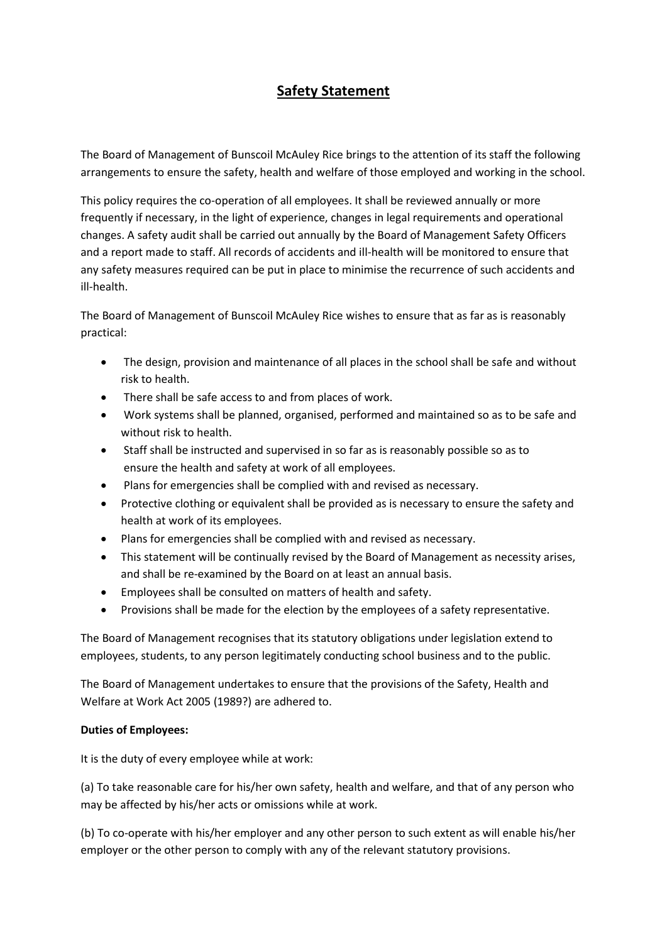# **Safety Statement**

The Board of Management of Bunscoil McAuley Rice brings to the attention of its staff the following arrangements to ensure the safety, health and welfare of those employed and working in the school.

This policy requires the co-operation of all employees. It shall be reviewed annually or more frequently if necessary, in the light of experience, changes in legal requirements and operational changes. A safety audit shall be carried out annually by the Board of Management Safety Officers and a report made to staff. All records of accidents and ill-health will be monitored to ensure that any safety measures required can be put in place to minimise the recurrence of such accidents and ill-health.

The Board of Management of Bunscoil McAuley Rice wishes to ensure that as far as is reasonably practical:

- The design, provision and maintenance of all places in the school shall be safe and without risk to health.
- There shall be safe access to and from places of work.
- Work systems shall be planned, organised, performed and maintained so as to be safe and without risk to health.
- Staff shall be instructed and supervised in so far as is reasonably possible so as to ensure the health and safety at work of all employees.
- Plans for emergencies shall be complied with and revised as necessary.
- Protective clothing or equivalent shall be provided as is necessary to ensure the safety and health at work of its employees.
- Plans for emergencies shall be complied with and revised as necessary.
- This statement will be continually revised by the Board of Management as necessity arises, and shall be re-examined by the Board on at least an annual basis.
- Employees shall be consulted on matters of health and safety.
- Provisions shall be made for the election by the employees of a safety representative.

The Board of Management recognises that its statutory obligations under legislation extend to employees, students, to any person legitimately conducting school business and to the public.

The Board of Management undertakes to ensure that the provisions of the Safety, Health and Welfare at Work Act 2005 (1989?) are adhered to.

# **Duties of Employees:**

It is the duty of every employee while at work:

(a) To take reasonable care for his/her own safety, health and welfare, and that of any person who may be affected by his/her acts or omissions while at work.

(b) To co-operate with his/her employer and any other person to such extent as will enable his/her employer or the other person to comply with any of the relevant statutory provisions.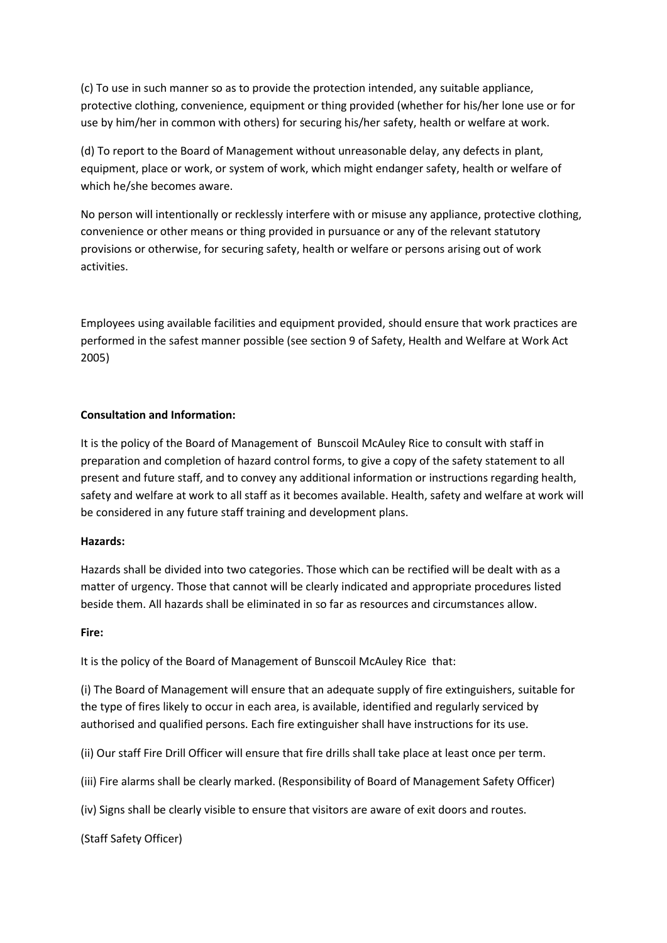(c) To use in such manner so as to provide the protection intended, any suitable appliance, protective clothing, convenience, equipment or thing provided (whether for his/her lone use or for use by him/her in common with others) for securing his/her safety, health or welfare at work.

(d) To report to the Board of Management without unreasonable delay, any defects in plant, equipment, place or work, or system of work, which might endanger safety, health or welfare of which he/she becomes aware.

No person will intentionally or recklessly interfere with or misuse any appliance, protective clothing, convenience or other means or thing provided in pursuance or any of the relevant statutory provisions or otherwise, for securing safety, health or welfare or persons arising out of work activities.

Employees using available facilities and equipment provided, should ensure that work practices are performed in the safest manner possible (see section 9 of Safety, Health and Welfare at Work Act 2005)

# **Consultation and Information:**

It is the policy of the Board of Management of Bunscoil McAuley Rice to consult with staff in preparation and completion of hazard control forms, to give a copy of the safety statement to all present and future staff, and to convey any additional information or instructions regarding health, safety and welfare at work to all staff as it becomes available. Health, safety and welfare at work will be considered in any future staff training and development plans.

# **Hazards:**

Hazards shall be divided into two categories. Those which can be rectified will be dealt with as a matter of urgency. Those that cannot will be clearly indicated and appropriate procedures listed beside them. All hazards shall be eliminated in so far as resources and circumstances allow.

# **Fire:**

It is the policy of the Board of Management of Bunscoil McAuley Rice that:

(i) The Board of Management will ensure that an adequate supply of fire extinguishers, suitable for the type of fires likely to occur in each area, is available, identified and regularly serviced by authorised and qualified persons. Each fire extinguisher shall have instructions for its use.

(ii) Our staff Fire Drill Officer will ensure that fire drills shall take place at least once per term.

(iii) Fire alarms shall be clearly marked. (Responsibility of Board of Management Safety Officer)

(iv) Signs shall be clearly visible to ensure that visitors are aware of exit doors and routes.

(Staff Safety Officer)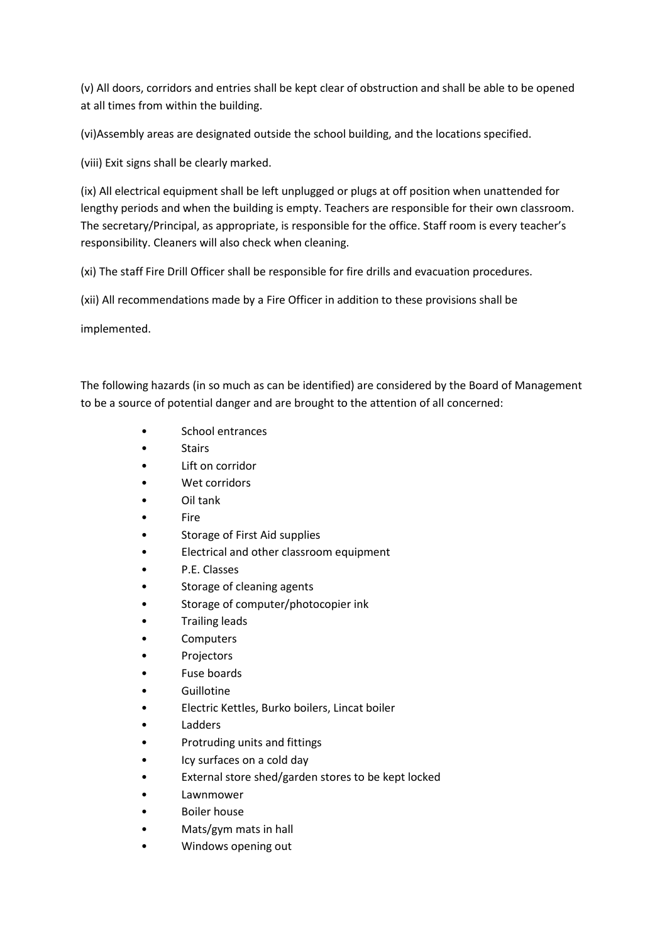(v) All doors, corridors and entries shall be kept clear of obstruction and shall be able to be opened at all times from within the building.

(vi)Assembly areas are designated outside the school building, and the locations specified.

(viii) Exit signs shall be clearly marked.

(ix) All electrical equipment shall be left unplugged or plugs at off position when unattended for lengthy periods and when the building is empty. Teachers are responsible for their own classroom. The secretary/Principal, as appropriate, is responsible for the office. Staff room is every teacher's responsibility. Cleaners will also check when cleaning.

(xi) The staff Fire Drill Officer shall be responsible for fire drills and evacuation procedures.

(xii) All recommendations made by a Fire Officer in addition to these provisions shall be

implemented.

The following hazards (in so much as can be identified) are considered by the Board of Management to be a source of potential danger and are brought to the attention of all concerned:

- School entrances
- Stairs
- Lift on corridor
- Wet corridors
- Oil tank
- Fire
- Storage of First Aid supplies
- Electrical and other classroom equipment
- P.E. Classes
- Storage of cleaning agents
- Storage of computer/photocopier ink
- Trailing leads
- Computers
- Projectors
- Fuse boards
- Guillotine
- Electric Kettles, Burko boilers, Lincat boiler
- Ladders
- Protruding units and fittings
- Icy surfaces on a cold day
- External store shed/garden stores to be kept locked
- Lawnmower
- Boiler house
- Mats/gym mats in hall
- Windows opening out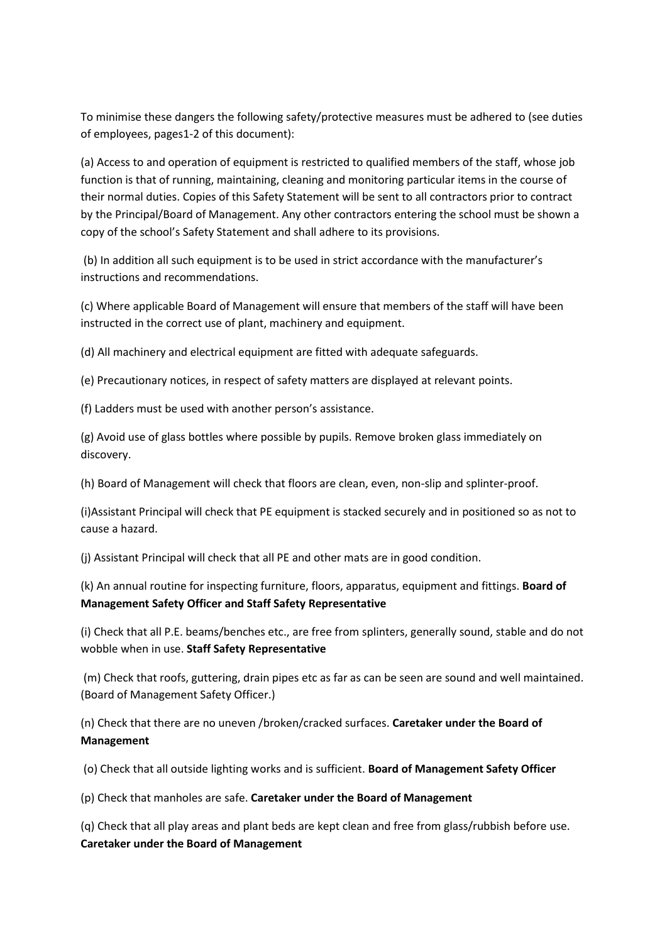To minimise these dangers the following safety/protective measures must be adhered to (see duties of employees, pages1-2 of this document):

(a) Access to and operation of equipment is restricted to qualified members of the staff, whose job function is that of running, maintaining, cleaning and monitoring particular items in the course of their normal duties. Copies of this Safety Statement will be sent to all contractors prior to contract by the Principal/Board of Management. Any other contractors entering the school must be shown a copy of the school's Safety Statement and shall adhere to its provisions.

(b) In addition all such equipment is to be used in strict accordance with the manufacturer's instructions and recommendations.

(c) Where applicable Board of Management will ensure that members of the staff will have been instructed in the correct use of plant, machinery and equipment.

(d) All machinery and electrical equipment are fitted with adequate safeguards.

(e) Precautionary notices, in respect of safety matters are displayed at relevant points.

(f) Ladders must be used with another person's assistance.

(g) Avoid use of glass bottles where possible by pupils. Remove broken glass immediately on discovery.

(h) Board of Management will check that floors are clean, even, non-slip and splinter-proof.

(i)Assistant Principal will check that PE equipment is stacked securely and in positioned so as not to cause a hazard.

(j) Assistant Principal will check that all PE and other mats are in good condition.

(k) An annual routine for inspecting furniture, floors, apparatus, equipment and fittings. **Board of Management Safety Officer and Staff Safety Representative**

(i) Check that all P.E. beams/benches etc., are free from splinters, generally sound, stable and do not wobble when in use. **Staff Safety Representative**

(m) Check that roofs, guttering, drain pipes etc as far as can be seen are sound and well maintained. (Board of Management Safety Officer.)

(n) Check that there are no uneven /broken/cracked surfaces. **Caretaker under the Board of Management**

(o) Check that all outside lighting works and is sufficient. **Board of Management Safety Officer**

(p) Check that manholes are safe. **Caretaker under the Board of Management**

(q) Check that all play areas and plant beds are kept clean and free from glass/rubbish before use. **Caretaker under the Board of Management**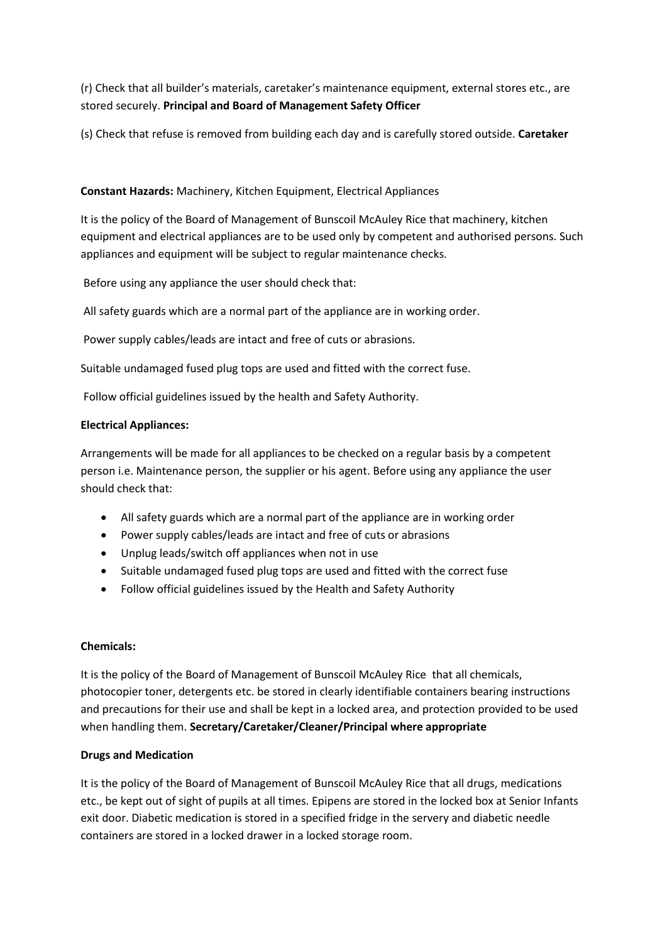(r) Check that all builder's materials, caretaker's maintenance equipment, external stores etc., are stored securely. **Principal and Board of Management Safety Officer**

(s) Check that refuse is removed from building each day and is carefully stored outside. **Caretaker**

# **Constant Hazards:** Machinery, Kitchen Equipment, Electrical Appliances

It is the policy of the Board of Management of Bunscoil McAuley Rice that machinery, kitchen equipment and electrical appliances are to be used only by competent and authorised persons. Such appliances and equipment will be subject to regular maintenance checks.

Before using any appliance the user should check that:

All safety guards which are a normal part of the appliance are in working order.

Power supply cables/leads are intact and free of cuts or abrasions.

Suitable undamaged fused plug tops are used and fitted with the correct fuse.

Follow official guidelines issued by the health and Safety Authority.

# **Electrical Appliances:**

Arrangements will be made for all appliances to be checked on a regular basis by a competent person i.e. Maintenance person, the supplier or his agent. Before using any appliance the user should check that:

- All safety guards which are a normal part of the appliance are in working order
- Power supply cables/leads are intact and free of cuts or abrasions
- Unplug leads/switch off appliances when not in use
- Suitable undamaged fused plug tops are used and fitted with the correct fuse
- Follow official guidelines issued by the Health and Safety Authority

# **Chemicals:**

It is the policy of the Board of Management of Bunscoil McAuley Rice that all chemicals, photocopier toner, detergents etc. be stored in clearly identifiable containers bearing instructions and precautions for their use and shall be kept in a locked area, and protection provided to be used when handling them. **Secretary/Caretaker/Cleaner/Principal where appropriate**

# **Drugs and Medication**

It is the policy of the Board of Management of Bunscoil McAuley Rice that all drugs, medications etc., be kept out of sight of pupils at all times. Epipens are stored in the locked box at Senior Infants exit door. Diabetic medication is stored in a specified fridge in the servery and diabetic needle containers are stored in a locked drawer in a locked storage room.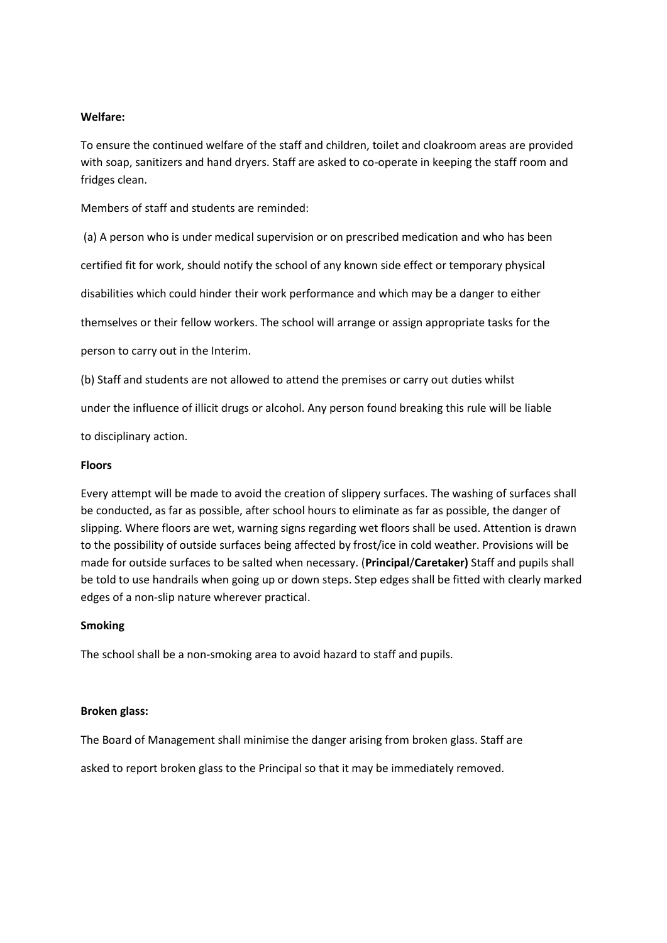#### **Welfare:**

To ensure the continued welfare of the staff and children, toilet and cloakroom areas are provided with soap, sanitizers and hand dryers. Staff are asked to co-operate in keeping the staff room and fridges clean.

Members of staff and students are reminded:

(a) A person who is under medical supervision or on prescribed medication and who has been

certified fit for work, should notify the school of any known side effect or temporary physical

disabilities which could hinder their work performance and which may be a danger to either

themselves or their fellow workers. The school will arrange or assign appropriate tasks for the

person to carry out in the Interim.

(b) Staff and students are not allowed to attend the premises or carry out duties whilst

under the influence of illicit drugs or alcohol. Any person found breaking this rule will be liable

to disciplinary action.

#### **Floors**

Every attempt will be made to avoid the creation of slippery surfaces. The washing of surfaces shall be conducted, as far as possible, after school hours to eliminate as far as possible, the danger of slipping. Where floors are wet, warning signs regarding wet floors shall be used. Attention is drawn to the possibility of outside surfaces being affected by frost/ice in cold weather. Provisions will be made for outside surfaces to be salted when necessary. (**Principal**/**Caretaker)** Staff and pupils shall be told to use handrails when going up or down steps. Step edges shall be fitted with clearly marked edges of a non-slip nature wherever practical.

#### **Smoking**

The school shall be a non-smoking area to avoid hazard to staff and pupils.

#### **Broken glass:**

The Board of Management shall minimise the danger arising from broken glass. Staff are

asked to report broken glass to the Principal so that it may be immediately removed.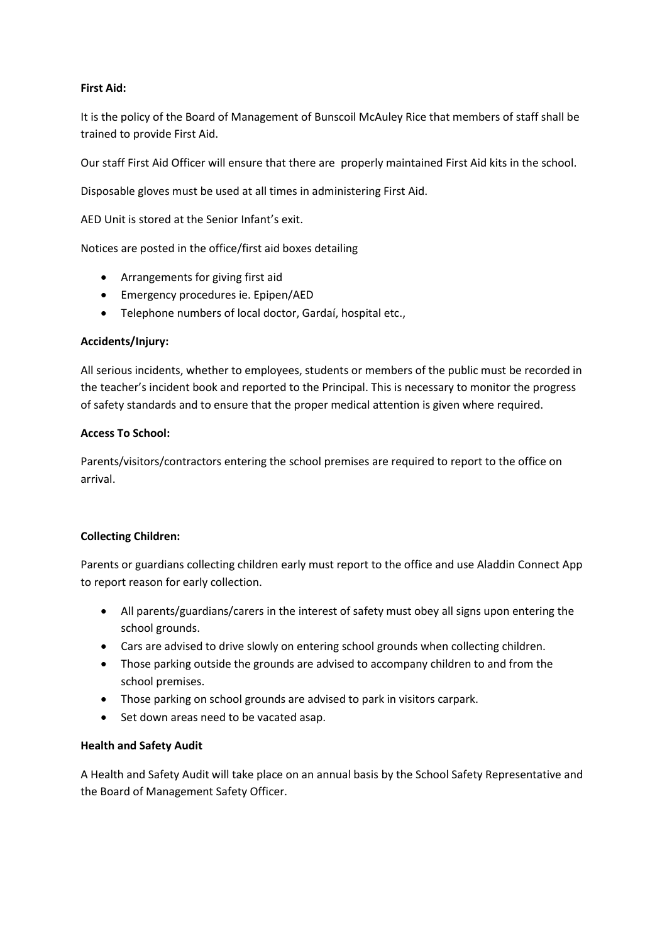# **First Aid:**

It is the policy of the Board of Management of Bunscoil McAuley Rice that members of staff shall be trained to provide First Aid.

Our staff First Aid Officer will ensure that there are properly maintained First Aid kits in the school.

Disposable gloves must be used at all times in administering First Aid.

AED Unit is stored at the Senior Infant's exit.

Notices are posted in the office/first aid boxes detailing

- Arrangements for giving first aid
- Emergency procedures ie. Epipen/AED
- Telephone numbers of local doctor, Gardaí, hospital etc.,

# **Accidents/Injury:**

All serious incidents, whether to employees, students or members of the public must be recorded in the teacher's incident book and reported to the Principal. This is necessary to monitor the progress of safety standards and to ensure that the proper medical attention is given where required.

# **Access To School:**

Parents/visitors/contractors entering the school premises are required to report to the office on arrival.

# **Collecting Children:**

Parents or guardians collecting children early must report to the office and use Aladdin Connect App to report reason for early collection.

- All parents/guardians/carers in the interest of safety must obey all signs upon entering the school grounds.
- Cars are advised to drive slowly on entering school grounds when collecting children.
- Those parking outside the grounds are advised to accompany children to and from the school premises.
- Those parking on school grounds are advised to park in visitors carpark.
- Set down areas need to be vacated asap.

# **Health and Safety Audit**

A Health and Safety Audit will take place on an annual basis by the School Safety Representative and the Board of Management Safety Officer.